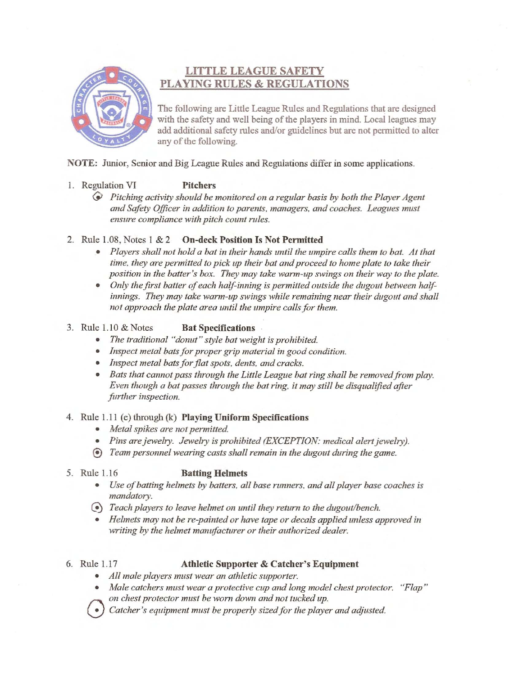

# LITTLE LEAGUE SAFETY **PLAYING RULES & REGULATIONS**

The following are Little League Rules and Regulations that are designed with the safety and well being of the players in mind. Local leagues may add additional safety rules and/or guidelines hut are not pennitted to alter any of the following.

**NOTE:** Junior, Senior and Big League Rules and Regulations differ in some applications.

## 1. Regulation **VI Pitchers**

G> *Pitching activity should be monitored on a regular basis by both the Player Agent and Safety Officer in addition to parents. managers. and coaches. Leagues must*  $ensure$  *compliance* with *pitch count rules*.

2. Rule 1.08, Notes! & 2 **On-deck Position Is Not Permitted**

- *• Players shall not hold a bat in their hands until the umpire calls them to bat. At that time. they are permitted to pick up their bat andproceed to home plate to take their position in the batter's box. They may take wann-up swings on their way to the plate.*
- *Only the first batter of each half-inning is permitted outside the dugout between halfinnings. They may take warm-up swings while remaining near their dugout and shall not approach the plate area until the umpire callsfor them.*

## 3. Rule 1.l0 & Notes **Bat Specifications**

- *• The traditional "donut" style bat weight* is *prohibited.*
- *• Inspect metal batsfor proper grip material in good condition.*
- *• Inspect metal batsforflat spots. dents. and cracks.*
- *• Bats that cannot pass through the Little League bat ring shall be removedfrom play. Even though a batpasses through the bat ring. it may still be disqualified after jilrther inspection.*

## 4. Rule 1.11 (e) through (k) **Playing Uniform Specifications**

- *• Metal spikes are not permitted.*
- *• Pins are jewelry. Jewelry is prohibited (EXCEPTION: medical alertjewelry).*
- o *Team personnel wearing casts shall remain in the dugout during the gmne.*
- 

### 5. Rule 1.16 **Batting Helmets**

- *• Use ofbatting helmets by batters. all base runners. and all player base coaches* is *mandatory.*
- G) *Teach players to leave helmet on until they return to the dugout/bench.*
- *• Helmets may not be re-painted or have tape or decals applied unless approved in writing by the helmet manufacturer or their authorized dealer.*
- 
- 6. Rule 1.17 **Athletic Supporter & Catcher's Equipment**
	- *• All male players must wear an athletic supporter.*
	- *• Male catchers must wear a protective cup and long model chest protector. "Flap"* on chest protector must be worn down and not tucked up.<br>Catcher's equipment must be properly sized for the player and adjusted.
	-